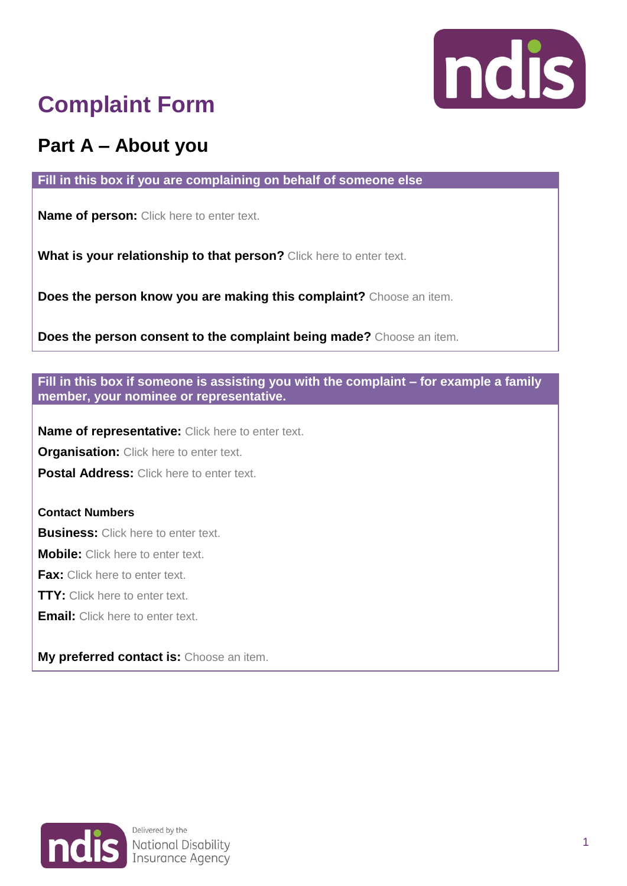

# **Complaint Form**

## **Part A – About you**

**Fill in this box if you are complaining on behalf of someone else**

**Name of person:** Click here to enter text.

**What is your relationship to that person?** Click here to enter text.

**Does the person know you are making this complaint?** Choose an item.

**Does the person consent to the complaint being made?** Choose an item.

**Fill in this box if someone is assisting you with the complaint – for example a family member, your nominee or representative.**

**Name of representative:** Click here to enter text.

**Organisation:** Click here to enter text.

**Postal Address:** Click here to enter text.

### **Contact Numbers**

**Business:** Click here to enter text.

**Mobile:** Click here to enter text.

**Fax:** Click here to enter text.

**TTY:** Click here to enter text.

**Email:** Click here to enter text.

**My preferred contact is:** Choose an item.

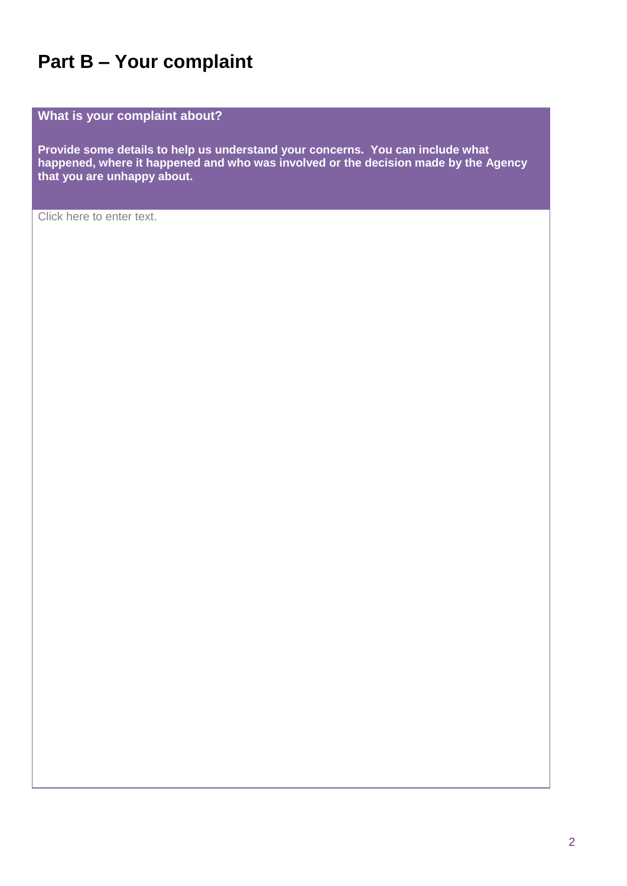### **Part B – Your complaint**

**What is your complaint about?**

**Provide some details to help us understand your concerns. You can include what happened, where it happened and who was involved or the decision made by the Agency that you are unhappy about.** 

Click here to enter text.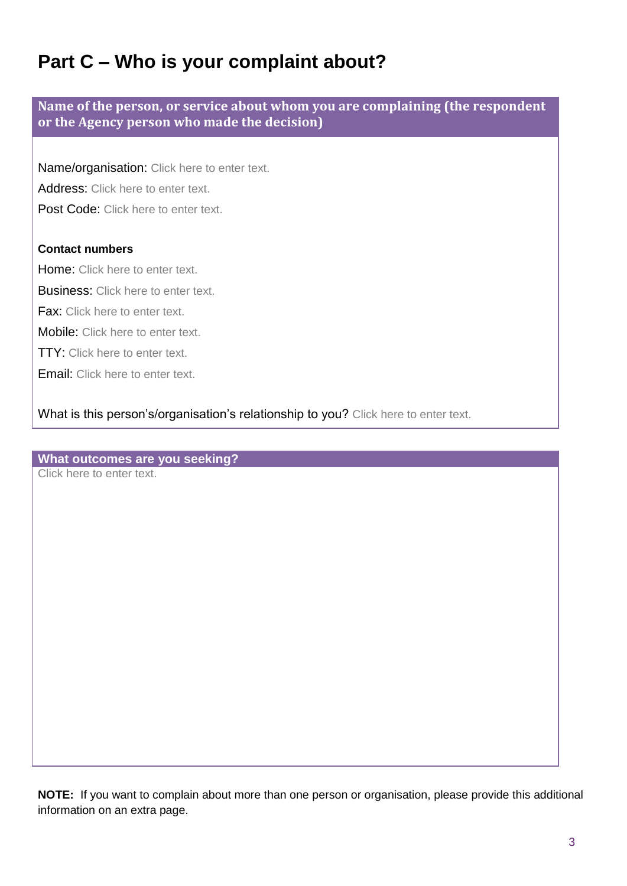### **Part C – Who is your complaint about?**

**Name of the person, or service about whom you are complaining (the respondent or the Agency person who made the decision)**

Name/organisation: Click here to enter text.

Address: Click here to enter text.

Post Code: Click here to enter text.

### **Contact numbers**

Home: Click here to enter text.

**Business:** Click here to enter text.

Fax: Click here to enter text.

Mobile: Click here to enter text.

TTY: Click here to enter text.

Email: Click here to enter text.

What is this person's/organisation's relationship to you? Click here to enter text.

**What outcomes are you seeking?**

Click here to enter text.

**NOTE:** If you want to complain about more than one person or organisation, please provide this additional information on an extra page.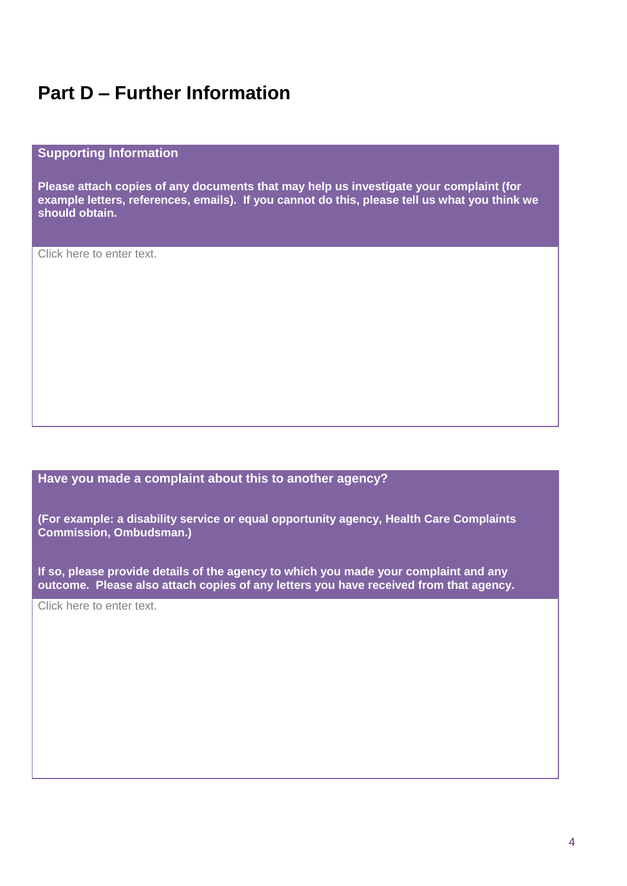### **Part D – Further Information**

#### **Supporting Information**

**Please attach copies of any documents that may help us investigate your complaint (for example letters, references, emails). If you cannot do this, please tell us what you think we should obtain.**

Click here to enter text.

#### **Have you made a complaint about this to another agency?**

**(For example: a disability service or equal opportunity agency, Health Care Complaints Commission, Ombudsman.)**

**If so, please provide details of the agency to which you made your complaint and any outcome. Please also attach copies of any letters you have received from that agency.**

Click here to enter text.